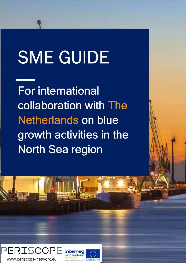# SME GUIDE

For international collaboration with The Netherlands on blue growth activities in the North Sea region



www.periscope-network.eu

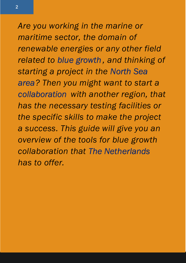Are you working in the marine or maritime sector, the domain of renewable energies or any other field related to blue growth , and thinking of starting a project in the North Sea area? Then you might want to start a collaboration with another region, that has the necessary testing facilities or the specific skills to make the project a success. This guide will give you an overview of the tools for blue growth collaboration that The Netherlands has to offer.

2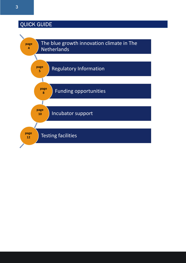### QUICK GUIDE

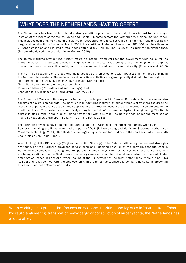### WHAT DOES THE NETHERLANDS HAVE TO OFFER?

The Netherlands has been able to build a strong maritime position in the world, thanks in part to its strategic location at the mouth of the Meuse, Rhine and Scheldt. In some sectors the Netherlands is global market leader. This includes seaports, maritime and logistics infrastructure, offshore, hydraulic engineering, transport of heavy cargo and construction of super yachts. In 2018, the maritime cluster employs around 263.000 people with some 21.000 companies and realized a total added value of € 23 billion. That is 3% of the GDP of the Netherlands. (Rijksoverheid, Nederlandse Maritieme Monitor 2019)

The Dutch maritime strategy 2015-2025 offers an integral framework for the government-wide policy for the maritime cluster. The strategy places an emphasis on six cluster wide policy areas including human capital, innovation, trade, accessibility, safety and the environment and security and stability. (Rijksoverheid, 2015)

The North Sea coastline of the Netherlands is about 350 kilometres long with about 2.5 million people living in the four maritime regions. The main economic maritime activities are geographically divided into four regions: Northern sea ports (Delfzijl, Eemshaven, Harlingen, Den Helder);

North Sea Canal (Amsterdam and surroundings);

Rhine and Meuse (Rotterdam and surroundings); and

Scheldt basin (Vlissingen and Terneuzen). (Ecorys, 2012)

The Rhine and Maas maritime region is formed by the largest port in Europe, Rotterdam, but the cluster also consists of several components. The maritime manufacturing industry - think for example of offshore and dredging vessels or superyacht construction - and suppliers to the maritime network are also important components in the maritime cluster. The cluster is also relatively strong in the field of offshore and hydraulic engineering. The Dutch cluster is also strong in the area of inland navigation; Within Europe, the Netherlands makes the most use of inland navigation as a transport modality. (Maritime Delta, 2018)

The northern provinces have a number of larger seaports in Groningen and Friesland, namely Groningen Seaports, including the Eemshaven and the ports of Delfzijl, Lauwersoog and Harlingen Seaports (Netherlands Maritime Technology, 2014). Den Helder is the largest logistics hub for Offshore in the southern part of the North Sea ("Port of Den Helder", n.d.).

When looking at the RIS strategy (Regional Innovation Strategy) of the Dutch maritime regions, several strategies are found. For the Northern provinces of Groningen and Friesland (location of the northern seaports Delfzijl, Harlingen and Eemshaven), among other things, sustainable energy, water technology and smart (sensor) systems are being mentioned. In the field of water technology Wetsus is an international knowledge institute and cluster organisation, based in Friesland. When looking at the RIS strategy of the West Netherlands, there are no RIS3 items that directly connect with the blue economy. This is remarkable, since a large maritime sector is present in this area. (European Commission, n.d.)

When working on a project that focuses on seaports, maritime and logistics infrastructure, offshore, hydraulic engineering, transport of heavy cargo or construction of super yachts, the Netherlands has a lot to offer.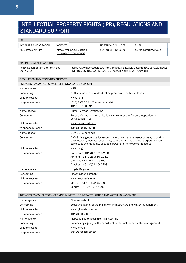### INTELLECTUAL PROPERTY RIGHTS (IPR), REGULATIONS AND STANDARD SUPPORT

#### IPR

| <b>LOCAL IPR AMBASSADOR</b>                                                    | <b>WEBSITE</b> |                                                                                                                             | <b>TELEPHONE NUMBER</b>                                                     | <b>EMAIL</b>                                                                                                                                                |
|--------------------------------------------------------------------------------|----------------|-----------------------------------------------------------------------------------------------------------------------------|-----------------------------------------------------------------------------|-------------------------------------------------------------------------------------------------------------------------------------------------------------|
| NL Octrooicentrum                                                              |                | https://mijn.rvo.nl/octrooi-<br>aanvragen-in-nederland                                                                      | +31 (0)88 042 6660                                                          | octrooicentrum@rvo.nl                                                                                                                                       |
|                                                                                |                |                                                                                                                             |                                                                             |                                                                                                                                                             |
| <b>MARINE SPATIAL PLANNING</b>                                                 |                |                                                                                                                             |                                                                             |                                                                                                                                                             |
| Policy Document on the North Sea<br>2016-2021                                  |                |                                                                                                                             | 0North%20Sea%202016-2021%20%28download%29_4895.pdf                          | https://www.noordzeeloket.nl/en/Images/Policy%20Document%20on%20the%2                                                                                       |
| REGULATION AND STANDARD SUPPORT                                                |                |                                                                                                                             |                                                                             |                                                                                                                                                             |
| AGENCIES TO CONTACT CONCERNING STANDARDS SUPPORT                               |                |                                                                                                                             |                                                                             |                                                                                                                                                             |
| Name agency                                                                    |                | <b>NEN</b>                                                                                                                  |                                                                             |                                                                                                                                                             |
| Concerning                                                                     |                |                                                                                                                             | NEN supports the standardization process in The Netherlands.                |                                                                                                                                                             |
| Link to website                                                                |                | www.nen.nl                                                                                                                  |                                                                             |                                                                                                                                                             |
| telephone number                                                               |                | (015) 2 690 391 (The Netherlands)<br>+31 152 690 391                                                                        |                                                                             |                                                                                                                                                             |
| Name agency                                                                    |                | <b>Bureau Veritas Certification</b>                                                                                         |                                                                             |                                                                                                                                                             |
| Concerning                                                                     |                | Certification (TIC)                                                                                                         | Bureau Veritas is an organisation with expertise in Testing, Inspection and |                                                                                                                                                             |
| Link to website                                                                |                | www.bureauveritas.nl                                                                                                        |                                                                             |                                                                                                                                                             |
| telephone number                                                               |                | +31 (0)88 450 55 00                                                                                                         |                                                                             |                                                                                                                                                             |
| Name agency                                                                    |                | <b>DNV GL Netherlands</b>                                                                                                   |                                                                             |                                                                                                                                                             |
| Concerning                                                                     |                |                                                                                                                             | services to the maritime, oil & gas, power and renewables industries.       | DNV GL is a global quality assurance and risk management company providing<br>classification, technical assurance, software and independent expert advisory |
| Link to website                                                                |                | www.dnvgl.nl                                                                                                                |                                                                             |                                                                                                                                                             |
| telephone number                                                               |                | Rotterdam: +31 (0) 10 2922 600<br>Arnhem: +31 (0)26 3 56 91 11<br>Groningen: +31 50 700 9700<br>Drachten: +31 (0)512 540409 |                                                                             |                                                                                                                                                             |
| Name agency                                                                    |                | Lloyd's Register                                                                                                            |                                                                             |                                                                                                                                                             |
| Concerning                                                                     |                | Classification company                                                                                                      |                                                                             |                                                                                                                                                             |
| Link to website                                                                |                | www.lloydsregister.nl                                                                                                       |                                                                             |                                                                                                                                                             |
| telephone number                                                               |                | Marine: +31 (0)10 4145088<br>Energy: +31 (0)10 2014200                                                                      |                                                                             |                                                                                                                                                             |
| AGENCIES TO CONTACT CONCERNING MINISTRY OF INFRASTRUCTURE AND WATER MANAGEMENT |                |                                                                                                                             |                                                                             |                                                                                                                                                             |
| Name agency                                                                    |                | Rijkswaterstaat                                                                                                             |                                                                             |                                                                                                                                                             |
|                                                                                |                |                                                                                                                             |                                                                             |                                                                                                                                                             |

| Rijkswaterstaat                                                           |
|---------------------------------------------------------------------------|
| Executive agency of the ministry of infrastructure and water management.  |
| www.rijkswaterstaat.nl                                                    |
| +31 (0)8008002                                                            |
| Inspectie Leefomgeving en Transport (ILT)                                 |
| Supervising agency of the ministry of infrastructure and water management |
| www.ilent.nl                                                              |
| +31 (0)88 489 00 00                                                       |
|                                                                           |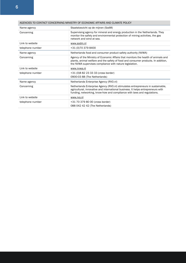| AGENCIES TO CONTACT CONCERNING MINISTRY OF ECONOMIC AFFAIRS AND CLIMATE POLICY |                                                                                                                                                                                                                                                |  |
|--------------------------------------------------------------------------------|------------------------------------------------------------------------------------------------------------------------------------------------------------------------------------------------------------------------------------------------|--|
| Name agency                                                                    | Staatstoezicht op de mijnen (SodM)                                                                                                                                                                                                             |  |
| Concerning                                                                     | Supervising agency for mineral and energy production in the Netherlands. They<br>monitor the safety and environmental protection of mining activities, the gas<br>network and wind at sea.                                                     |  |
| Link to website                                                                | www.sodm.nl                                                                                                                                                                                                                                    |  |
| telephone number                                                               | +31 (0) 70 379 8400                                                                                                                                                                                                                            |  |
| Name agency                                                                    | Netherlands food and consumer product safety authority (NVWA)                                                                                                                                                                                  |  |
| Concerning                                                                     | Agency of the Ministry of Economic Affairs that monitors the health of animals and<br>plants, animal welfare and the safety of food and consumer products. In addition,<br>the NVWA supervises compliance with nature legislation.             |  |
| Link to website                                                                | www.nvwa.nl                                                                                                                                                                                                                                    |  |
| telephone number                                                               | +31 (0)8 82 23 33 33 (cross border)<br>0900-03 88 (The Netherlands)                                                                                                                                                                            |  |
| Name agency                                                                    | Netherlands Enterprise Agency (RVO.nl)                                                                                                                                                                                                         |  |
| Concerning                                                                     | Netherlands Enterprise Agency (RVO.nl) stimulates entrepreneurs in sustainable,<br>agricultural, innovative and international business. It helps entrepreneurs with<br>funding, networking, know-how and compliance with laws and regulations. |  |
| Link to website                                                                | www.rvo.nl                                                                                                                                                                                                                                     |  |
| telephone number                                                               | +31 70 379 80 00 (cross border)<br>088 042 42 42 (The Netherlands)                                                                                                                                                                             |  |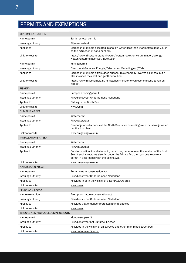### PERMITS AND EXEMPTIONS

| MINERAL EXTRACTION                |                                                                                                                                                                                                                        |  |
|-----------------------------------|------------------------------------------------------------------------------------------------------------------------------------------------------------------------------------------------------------------------|--|
| Name permit                       | Earth removal permit                                                                                                                                                                                                   |  |
| Isssuing authority                | Rijkswaterstaat                                                                                                                                                                                                        |  |
| Applies to                        | Extraction of minerals located in shallow water (less than 100 metres deep), such<br>as the extraction of sand or shells.                                                                                              |  |
| Link to website                   | https://www.rijkswaterstaat.nl/water/wetten-regels-en-vergunningen/overige-<br>wetten/ontgrondingenwet/index.aspx                                                                                                      |  |
| Name permit                       | Mining permit                                                                                                                                                                                                          |  |
| <b>Isssuing authority</b>         | Directoraat-Generaal Energie, Telecom en Mededinging (ETM)                                                                                                                                                             |  |
| Applies to                        | Extraction of minerals from deep subsoil. This generally involves oil or gas, but it<br>also includes rock salt and geothermal heat.                                                                                   |  |
| Link to website                   | https://www.rijksoverheid.nl/ministeries/ministerie-van-economische-zaken-en-<br>klimaat                                                                                                                               |  |
| <b>FISHERY</b>                    |                                                                                                                                                                                                                        |  |
| Name permit                       | European fishing permit                                                                                                                                                                                                |  |
| Isssuing authority                | Rijksdienst voor Ondernemend Nederland                                                                                                                                                                                 |  |
| Applies to                        | Fishing in the North Sea                                                                                                                                                                                               |  |
| Link to website                   | www.rvo.nl                                                                                                                                                                                                             |  |
| <b>DUMPING AT SEA</b>             |                                                                                                                                                                                                                        |  |
| Name permit                       | Waterpermit                                                                                                                                                                                                            |  |
| Isssuing authority                | Rijkswaterstaat                                                                                                                                                                                                        |  |
| Applies to                        | Discharge of substances at the North Sea, such as cooling water or sewage water<br>purification plant                                                                                                                  |  |
| Link to website                   | www.omgevingsloket.nl                                                                                                                                                                                                  |  |
| <b>INSTALLATIONS AT SEA</b>       |                                                                                                                                                                                                                        |  |
| Name permit                       | Waterpermit                                                                                                                                                                                                            |  |
| Isssuing authority                | Rijkswaterstaat                                                                                                                                                                                                        |  |
| Applies to                        | Build or position 'installations' in, on, above, under or over the seabed of the North<br>Sea. If such structures also fall under the Mining Act, then you only require a<br>permit in accordance with the Mining Act. |  |
| Link to website                   | www.omgevingsloket.nl                                                                                                                                                                                                  |  |
| NATURE2000 AREAS                  |                                                                                                                                                                                                                        |  |
| Name permit                       | Permit nature conservation act                                                                                                                                                                                         |  |
| Isssuing authority                | Rijksdienst voor Ondernemend Nederland                                                                                                                                                                                 |  |
| Applies to                        | Activities in or in the vicinity of a Natura2000 area                                                                                                                                                                  |  |
| Link to website                   | www.rvo.nl                                                                                                                                                                                                             |  |
| FLORA AND FAUNA                   |                                                                                                                                                                                                                        |  |
| Name exemption                    | Exemption nature conservation act                                                                                                                                                                                      |  |
| Isssuing authority                | Rijksdienst voor Ondernemend Nederland                                                                                                                                                                                 |  |
| Applies to                        | Activities that endanger protected animal species                                                                                                                                                                      |  |
| Link to website                   | www.rvo.nl                                                                                                                                                                                                             |  |
| WRECKS AND ARCHAEOLOGICAL OBJECTS |                                                                                                                                                                                                                        |  |
| Name permit                       | Monument permit                                                                                                                                                                                                        |  |
| <b>Isssuing authority</b>         | Rijksdienst voor het Cultureel Erfgoed                                                                                                                                                                                 |  |
| Applies to                        | Activities in the vicinity of shipwrecks and other man-made structures                                                                                                                                                 |  |
| Link to website                   | www.cultureelerfgoed.nl                                                                                                                                                                                                |  |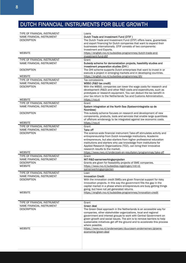### DUTCH FINANCIAL INSTRUMENTS FOR BLUE GROWTH

|                                  | Loans                                                                     |
|----------------------------------|---------------------------------------------------------------------------|
| NAME FINANCIAL INSTRUMENT        | Dutch Trade and Investment Fund (DTIF)                                    |
| <b>DESCRIPTION</b>               | The Dutch Trade and Investment Fund (DTIF) offers loans, guarantees       |
|                                  | and export financing for Dutch companies that want to expand their        |
|                                  | businesses internationally. DTIF consists of two components:              |
|                                  | Investment and Exports.                                                   |
| <b>WEBSITE</b>                   | https://english.rvo.nl/subsidies-programmes/dutch-trade-and-              |
|                                  | investment-fund-dtif                                                      |
| TYPE OF FINANCIAL INSTRUMENT     | Grant                                                                     |
| NAME FINANCIAL INSTRUMENT        | Subsidy scheme for demonstration projects, feasibility studies and        |
|                                  | investment preparation studies (DHI)                                      |
| <b>DESCRIPTION</b>               | The DHI scheme supports Dutch enterprises that want to invest in or       |
|                                  | execute a project in emerging markets and in developing countries.        |
| <b>WEBSITE</b>                   | https://english.rvo.nl/subsidies-programmes/dhi                           |
| TYPE OF FINANCIAL INSTRUMENT     | Tax concessions                                                           |
| NAME FINANCIAL INSTRUMENT        | WBSO (R&D tax credit)                                                     |
| <b>DESCRIPTION</b>               | With the WBSO, companies can lower the wage costs for research and        |
|                                  | development (R&D) and other R&D costs and expenditures, such as           |
|                                  | prototypes or research equipment. You can deduct the tax benefit in       |
|                                  | your tax return to the Netherlands Tax and Customs Administration.        |
| <b>WEBSITE</b>                   | https://rvo.nl                                                            |
| TYPE OF FINANCIAL INSTRUMENT     | Grant                                                                     |
| NAME FINANCIAL INSTRUMENT        | System integration at the North Sea (Systeemintegratie op de              |
|                                  | Noordzee)                                                                 |
| <b>DESCRIPTION</b>               | This subsidy scheme focuses on research and development of new            |
|                                  | components, products, tools and services that enable large quantitees     |
|                                  | of offshore windenergy to be integrated against low economic costs.       |
| <b>WEBSITE</b>                   | https://rvo.nl                                                            |
| TYPE OF FINANCIAL INSTRUMENT     | Grant                                                                     |
| NAME FINANCIAL INSTRUMENT        | Take off                                                                  |
| <b>DESCRIPTION</b>               | The science-wide financial instrument Take-off stimulates activity and    |
|                                  | entrepreneurship from Dutch knowledge institutions. Academic              |
|                                  | entrepreneurs, but also starters from higher professional education       |
|                                  | institutions and starters who use knowledge from institutions for         |
|                                  | Applied Research Organizations (TO2), can bring their innovative          |
|                                  | research results to the market.                                           |
| <b>WEBSITE</b>                   | https://www.nwo.nl/onderzoek-en-resultaten/programmas/take-off            |
|                                  |                                                                           |
| TYPE OF FINANCIAL INSTRUMENT     | Grant                                                                     |
| NAME FINANCIAL INSTRUMENT        | MIT-R&D-samenwerkingsprojecten                                            |
| <b>DESCRIPTION</b>               | Grants are given for feasability projects of SME companies.               |
| <b>WEBSITE</b>                   | https://www.rvo.nl/subsidies-regelingen/mit-rd-                           |
|                                  | samenwerkingsprojecten                                                    |
| TYPE OF FINANCIAL INSTRUMENT     | Loan                                                                      |
| <b>NAME FINANCIAL INSTRUMENT</b> | <b>Innovation Credit</b>                                                  |
| <b>DESCRIPTION</b>               | With the innovation credit SMEs are given financial support for risky     |
|                                  | innovation projects. In this way the government fills the gap in the      |
|                                  | capital market in a phase where entrepreneurs are busy getting things     |
|                                  | going, but have not yet generated returns.                                |
| <b>WEBSITE</b>                   | https://english.rvo.nl/subsidies-programmes/innovation-credit             |
|                                  |                                                                           |
|                                  |                                                                           |
| TYPE OF FINANCIAL INSTRUMENT     | Grant                                                                     |
| NAME FINANCIAL INSTRUMENT        | Green deal                                                                |
| <b>DESCRIPTION</b>               | The Green Deal approach in the Netherlands is an accessible way for       |
|                                  | companies, other stakeholder organizations, local and regional            |
|                                  | government and interest groups to work with Central Government on         |
|                                  | green growth and social issues. The aim is to remove barriers to help     |
|                                  | sustainable initiatives get off the ground and to accelerate this process |
|                                  | where possible.                                                           |
| <b>WEBSITE</b>                   | https://www.rvo.nl/onderwerpen/duurzaam-ondernemen/groene-                |
|                                  | economie/green-deal                                                       |
|                                  |                                                                           |
|                                  |                                                                           |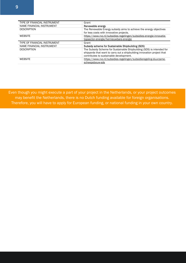| TYPE OF FINANCIAL INSTRUMENT | Grant                                                                                                                                                                                       |
|------------------------------|---------------------------------------------------------------------------------------------------------------------------------------------------------------------------------------------|
| NAME FINANCIAL INSTRUMENT    | Renewable energy                                                                                                                                                                            |
| <b>DESCRIPTION</b>           | The Renewable Energy subsidy aims to achieve the energy objectives<br>for less costs with innovative projects.                                                                              |
| <b>WFRSITF</b>               | https://www.rvo.nl/subsidies-regelingen/subsidies-energie-innovatie-<br>topsector-energie/hernieuwbare-energie                                                                              |
|                              |                                                                                                                                                                                             |
| TYPE OF FINANCIAL INSTRUMENT | Grant                                                                                                                                                                                       |
| NAME FINANCIAL INSTRUMENT    | Subsidy scheme for Sustainable Shipbuilding (SDS)                                                                                                                                           |
| <b>DESCRIPTION</b>           | The Subsidy Scheme for Sustainable Shipbuilding (SDS) is intended for<br>shipyards that want to carry out a shipbuilding innovation project that<br>contributes to sustainable development. |
| <b>WEBSITE</b>               | https://www.rvo.nl/subsidies-regelingen/subsidieregeling-duurzame-                                                                                                                          |

Even though you might execute a part of your project in the Netherlands, or your project outcomes may benefit the Netherlands, there is no Dutch funding available for foreign organisations. Therefore, you will have to apply for European funding, or national funding in your own country.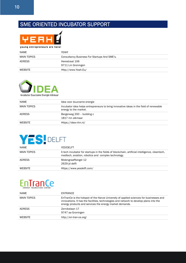### SME ORIENTED INCUBATOR SUPPORT



young entrepreneurs are here!

| NAME          | YFAH!                                        |
|---------------|----------------------------------------------|
| MAIN TOPICS   | Consultancy Business For Startups And SME's. |
| <b>ADRESS</b> | Herestraat 106                               |
|               | 9711 Lm Groningen                            |
| WEBSITE       | Http://www.Yeah.Eu/                          |



| <b>NAME</b>   | Idea voor duurzame energie                                                                                      |
|---------------|-----------------------------------------------------------------------------------------------------------------|
| MAIN TOPICS   | Incubator idea helps entrepreneurs to bring innovative ideas in the field of renewable<br>energy to the market. |
| <b>ADRESS</b> | Bergerweg 200 - building c<br>1817 mn alkmaar                                                                   |
| WEBSITE       | Https://idea-nhn.nl/                                                                                            |

## **YES!**DELFT

| <b>NAME</b>        | YES!DELFT                                                                                                                                             |
|--------------------|-------------------------------------------------------------------------------------------------------------------------------------------------------|
| <b>MAIN TOPICS</b> | A tech incubator for startups in the fields of blockchain, artificial intelligence, cleantech,<br>medtech, aviation, robotics and complex technology. |
| <b>ADRESS</b>      | Molengraaffsingel 12<br>2629 id delft                                                                                                                 |
| <b>WEBSITE</b>     | Https://www.yesdelft.com/                                                                                                                             |

### EnTransition CENTRE

| <b>NAME</b>    | ENTRANCE                                                                                                                                                                                                                                    |
|----------------|---------------------------------------------------------------------------------------------------------------------------------------------------------------------------------------------------------------------------------------------|
| MAIN TOPICS    | EnTranCe is the hotspot of the Hanze University of applied sciences for businesses and<br>innovations. It has the facilities, technologies and network to develop plans into the<br>energy products and services the energy market demands. |
| <b>ADRESS</b>  | Zernikelaan 17<br>9747 aa Groningen                                                                                                                                                                                                         |
| <b>WEBSITE</b> | http://en-tran-ce.org/                                                                                                                                                                                                                      |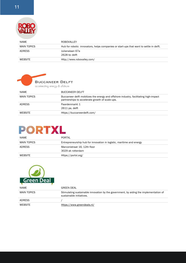

| NAME           | <b>ROBOVALLEY</b>                                                                      |
|----------------|----------------------------------------------------------------------------------------|
| MAIN TOPICS    | Hub for robotic innovators, helps companies or start-ups that want to settle in delft. |
| <b>ADRESS</b>  | Julianalaan 67a                                                                        |
|                | 2628 bc delft                                                                          |
| <b>WEBSITE</b> | Http://www.robovalley.com/                                                             |

### **BUCCANEER DELFT** accelerating energy & offshore

| <b>NAME</b>        | <b>BUCCANEER DELFT</b>                                                                                                                  |
|--------------------|-----------------------------------------------------------------------------------------------------------------------------------------|
| <b>MAIN TOPICS</b> | Buccaneer delft mobilizes the energy and offshore industry, facilitating high-impact<br>partnerships to accelerate growth of scale-ups. |
| <b>ADRESS</b>      | Paardenmarkt 1<br>2611 pa. delft                                                                                                        |
| <b>WEBSITE</b>     | Https://buccaneerdelft.com/                                                                                                             |

## **PORTXL**

| <b>NAME</b>    | <b>PORTXL</b>                                                        |
|----------------|----------------------------------------------------------------------|
| MAIN TOPICS    | Entrepreneurship hub for innovation in logistic, maritime and energy |
| <b>ADRESS</b>  | Marconistraat 16, 12th floor<br>3029 ak rotterdam                    |
| <b>WEBSITE</b> | Https://portxl.org/                                                  |



| NAMF        | <b>GREEN DEAL</b>                                                                                                 |
|-------------|-------------------------------------------------------------------------------------------------------------------|
| MAIN TOPICS | Stimulating sustainable innovation by the government, by aiding the implementation of<br>sustainable initiatives. |
| ADRESS      |                                                                                                                   |
| WEBSITE     | Https://www.greendeals.nl/                                                                                        |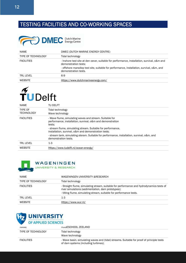### TESTING FACILITIES AND CO-WORKING SPACES



| <b>NAME</b>               | DMEC (DUTCH MARINE ENERGY CENTRE)                                                                                                                                                                                |
|---------------------------|------------------------------------------------------------------------------------------------------------------------------------------------------------------------------------------------------------------|
| <b>TYPE OF TECHNOLOGY</b> | Tidal technology                                                                                                                                                                                                 |
| <b>FACILITIES</b>         | - Inshore test site at den oever, suitable for performance, installation, survival, o&m and<br>demonstration tests;<br>- offshore marsdiep test site, suitable for performance, installation, survival, o&m, and |
|                           | demonstration tests.                                                                                                                                                                                             |
| <b>TRL LEVEL</b>          | $6-9$                                                                                                                                                                                                            |
| <b>WEBSITE</b>            | Https://www.dutchmarineenergy.com/                                                                                                                                                                               |

# $\widetilde{\mathbf{T}}$ UDelft

| <b>NAME</b>                         | TU DELFT                                                                                                                                                                                                                                                                                                                                                                        |
|-------------------------------------|---------------------------------------------------------------------------------------------------------------------------------------------------------------------------------------------------------------------------------------------------------------------------------------------------------------------------------------------------------------------------------|
| <b>TYPE OF</b><br><b>TFCHNOLOGY</b> | Tidal technology<br>Wave technology                                                                                                                                                                                                                                                                                                                                             |
| <b>FACILITIES</b>                   | - Wave flume, simulating waves and stream. Suitable for<br>performance, installation, survival, o&m and demonstration<br>tests:<br>- stream flume, simulating stream. Suitable for performance,<br>installation, survival, o&m and demonstration tests;<br>- stream tank, simulating steram. Suitable for performance, installation, survival, o&m, and<br>demonstration tests. |
| <b>TRL LEVEL</b>                    | $1 - 3$                                                                                                                                                                                                                                                                                                                                                                         |
| <b>WEBSITE</b>                      | Https://www.tudelft.nl/ocean-energy/                                                                                                                                                                                                                                                                                                                                            |



#### WAGENINGEN UNIVERSITY & RESEARCH

| NAME                      | WAGENINGEN UNIVERSITY & RESEARCH                                                                                                                                                                                      |
|---------------------------|-----------------------------------------------------------------------------------------------------------------------------------------------------------------------------------------------------------------------|
| <b>TYPE OF TECHNOLOGY</b> | Tidal technology                                                                                                                                                                                                      |
| <b>FACILITIES</b>         | - Straight flume, simulating stream, suitable for performance and hydrodynamics tests of<br>river simulations (sedimentation, dam prototypes);<br>- tilting flume, simulating stream, suitable for performance tests. |
| <b>TRL LEVEL</b>          | $1 - 3$                                                                                                                                                                                                               |
| <b>WEBSITE</b>            | Https://www.wur.nl/                                                                                                                                                                                                   |



| <b>IVAIVIL</b>            | nodESCHOOL ZEELAND                                                                                                                |
|---------------------------|-----------------------------------------------------------------------------------------------------------------------------------|
| <b>TYPE OF TECHNOLOGY</b> | Tidal technology<br>Wave technology                                                                                               |
| <b>FACILITIES</b>         | - Wave basin, simulating waves and (tidal) streams. Suitable for proof of principle tests<br>of dam systems (including turbines); |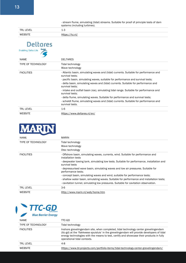- stream flume, simulating (tidal) streams. Suitable for proof of principle tests of dam systems (including turbines).

| TD.<br>=\/F<br>. | ∼<br>-<br>$\sim$ |
|------------------|------------------|
|                  |                  |

| <b>Enabling Delta Life</b> |                                                                                                           |
|----------------------------|-----------------------------------------------------------------------------------------------------------|
| NAME                       | <b>DELTARES</b>                                                                                           |
| <b>TYPE OF TECHNOLOGY</b>  | Tidal technology<br>Wave technology                                                                       |
| <b>FACILITIES</b>          | - Atlantic basin, simulating waves and (tidal) currents. Suitable for performance and<br>survival tests:  |
|                            | - pacific basin, simulating waves, suitable for performance and survival tests;                           |
|                            | - delta basin, simulating waves and (tidal) currents. Suitable for performance and<br>survival tests:     |
|                            | - intake and outfall basin (ios), simulating tidal range. Suitable for performance and<br>survival tests: |
|                            | - delta flume, simulating waves. Suitable for performance and survival tests;                             |
|                            | - scheldt flume, simulating waves and (tidal) currents. Suitable for performance and<br>survival tests.   |
| <b>TRL LEVEL</b>           | $1-6$                                                                                                     |
| <b>WEBSITE</b>             | Https://www.deltares.nl/en/                                                                               |



**Deltares** 

| <b>NAME</b>               | <b>MARIN</b>                                                                                                                                                                                                                                                                                                                                                                                                                                                                                                                                                                                       |
|---------------------------|----------------------------------------------------------------------------------------------------------------------------------------------------------------------------------------------------------------------------------------------------------------------------------------------------------------------------------------------------------------------------------------------------------------------------------------------------------------------------------------------------------------------------------------------------------------------------------------------------|
| <b>TYPE OF TECHNOLOGY</b> | Tidal technology<br>Wave technology<br>Otec technology                                                                                                                                                                                                                                                                                                                                                                                                                                                                                                                                             |
| <b>FACILITIES</b>         | - Offshore basin, simulating waves, currents, wind. Suitable for performance and<br>installation tests<br>- deepwater towing tank, simulating tow tests. Suitable for performance, installation and<br>survival tests<br>- depressurised wave basin, simulating waves and low air pressures. Suitable for<br>performance tests:<br>- concept basin, simulating waves and wind, suitable for performance tests;<br>- shallow water basin, simulating waves. Suitable for performance and installation tests;<br>- cavitation tunnel, simulating low pressures. Suitable for cavitation observation. |
| <b>TRL LEVEL</b>          | $3-6$                                                                                                                                                                                                                                                                                                                                                                                                                                                                                                                                                                                              |
| WEBSITE                   | Http://www.marin.nl/web/home.htm                                                                                                                                                                                                                                                                                                                                                                                                                                                                                                                                                                   |



| NAME                      | TTC-GD                                                                                                                                                                                                                                                                                                         |
|---------------------------|----------------------------------------------------------------------------------------------------------------------------------------------------------------------------------------------------------------------------------------------------------------------------------------------------------------|
| <b>TYPE OF TECHNOLOGY</b> | Tidal technology                                                                                                                                                                                                                                                                                               |
| <b>FACILITIES</b>         | Inshore grevelingendam site, when completed, tidal technology center grevelingendam<br>(ttc-gd) at the 'flakkeese spuisluis' in the grevelingendam will provide developers of tidal<br>energy technologies with the means to test, certify and showcase their products in fully<br>operational tidal contexts. |
| <b>TRL LEVEL</b>          | 4-8                                                                                                                                                                                                                                                                                                            |
| <b>WEBSITE</b>            | Https://www.bt-projects.com/portfolio-items/tidal-technology-center-grevelingendam/                                                                                                                                                                                                                            |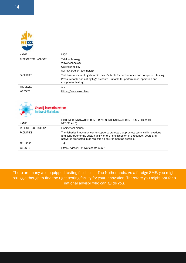



<mark>Visserij-innovatiecentrum</mark><br>Zuidwest-Nederland

| NAME                      | FISHERIES INNOVATION CENTER (VISSERIJ INNOVATIECENTRUM ZUID-WEST<br>NEDERLAND)                                                                                                                                                                   |
|---------------------------|--------------------------------------------------------------------------------------------------------------------------------------------------------------------------------------------------------------------------------------------------|
| <b>TYPE OF TECHNOLOGY</b> | Fishing techniques                                                                                                                                                                                                                               |
| <b>FACILITIES</b>         | The fisheries innovation center supports projects that promote technical innovations<br>and contribute to the sustainability of the fishing sector. In a test pool, gears and<br>networks are tested in as realistic an environment as possible. |
| <b>TRL LEVEL</b>          | $1-9$                                                                                                                                                                                                                                            |
| <b>WEBSITE</b>            | Https://visserij-innovatiecentrum.nl/                                                                                                                                                                                                            |

There are many well equipped testing facilities in The Netherlands. As a foreign SME, you might struggle though to find the right testing facility for your innovation. Therefore you might opt for a national advisor who can guide you.